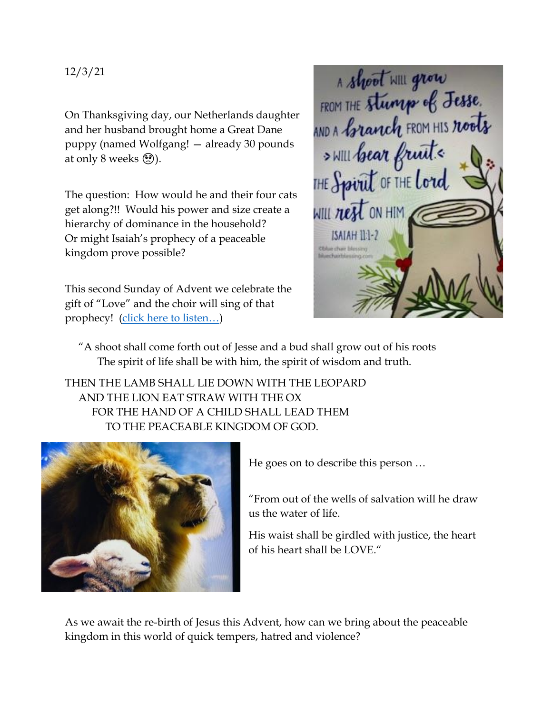12/3/21

On Thanksgiving day, our Netherlands daughter and her husband brought home a Great Dane puppy (named Wolfgang! — already 30 pounds at only 8 weeks  $\circled{?}$ ).

The question: How would he and their four cats get along?!! Would his power and size create a hierarchy of dominance in the household? Or might Isaiah's prophecy of a peaceable kingdom prove possible?

This second Sunday of Advent we celebrate the gift of "Love" and the choir will sing of that prophecy! ([click here to listen…](https://www.youtube.com/watch?v=rS6AcaeKi1I))



 "A shoot shall come forth out of Jesse and a bud shall grow out of his roots The spirit of life shall be with him, the spirit of wisdom and truth.

THEN THE LAMB SHALL LIE DOWN WITH THE LEOPARD AND THE LION EAT STRAW WITH THE OX FOR THE HAND OF A CHILD SHALL LEAD THEM TO THE PEACEABLE KINGDOM OF GOD.



He goes on to describe this person …

"From out of the wells of salvation will he draw us the water of life.

His waist shall be girdled with justice, the heart of his heart shall be LOVE."

As we await the re-birth of Jesus this Advent, how can we bring about the peaceable kingdom in this world of quick tempers, hatred and violence?